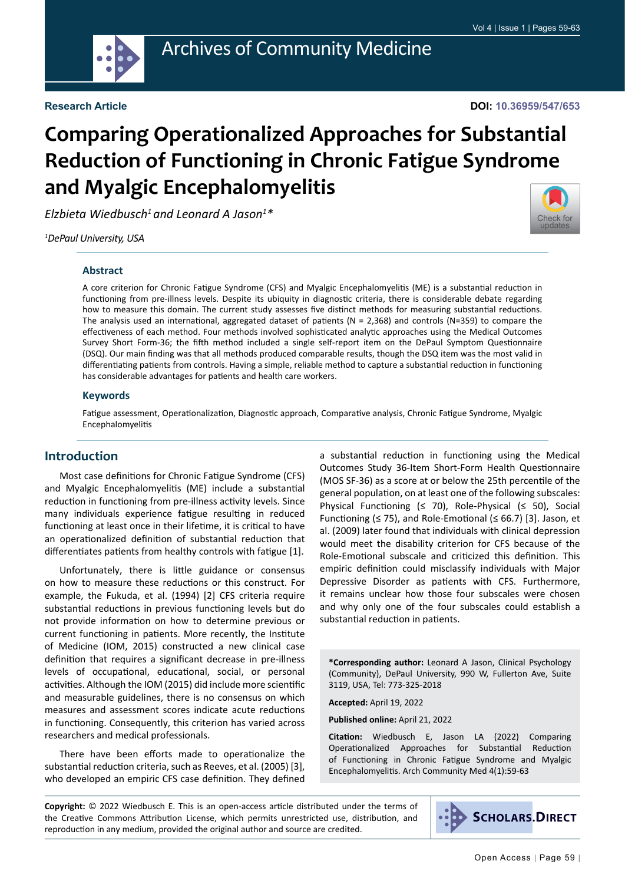

#### **Research Article**

#### **DOI: 10.36959/547/653**

# **Comparing Operationalized Approaches for Substantial Reduction of Functioning in Chronic Fatigue Syndrome and Myalgic Encephalomyelitis**

*Elzbieta Wiedbusch1 and Leonard A Jason1 \**

*1 DePaul University, USA*

#### **Abstract**

A core criterion for Chronic Fatigue Syndrome (CFS) and Myalgic Encephalomyelitis (ME) is a substantial reduction in functioning from pre-illness levels. Despite its ubiquity in diagnostic criteria, there is considerable debate regarding how to measure this domain. The current study assesses five distinct methods for measuring substantial reductions. The analysis used an international, aggregated dataset of patients ( $N = 2,368$ ) and controls (N=359) to compare the effectiveness of each method. Four methods involved sophisticated analytic approaches using the Medical Outcomes Survey Short Form-36; the fifth method included a single self-report item on the DePaul Symptom Questionnaire (DSQ). Our main finding was that all methods produced comparable results, though the DSQ item was the most valid in differentiating patients from controls. Having a simple, reliable method to capture a substantial reduction in functioning has considerable advantages for patients and health care workers.

#### **Keywords**

Fatigue assessment, Operationalization, Diagnostic approach, Comparative analysis, Chronic Fatigue Syndrome, Myalgic Encephalomyelitis

#### **Introduction**

Most case definitions for Chronic Fatigue Syndrome (CFS) and Myalgic Encephalomyelitis (ME) include a substantial reduction in functioning from pre-illness activity levels. Since many individuals experience fatigue resulting in reduced functioning at least once in their lifetime, it is critical to have an operationalized definition of substantial reduction that differentiates patients from healthy controls with fatigue [1].

Unfortunately, there is little guidance or consensus on how to measure these reductions or this construct. For example, the Fukuda, et al. (1994) [2] CFS criteria require substantial reductions in previous functioning levels but do not provide information on how to determine previous or current functioning in patients. More recently, the Institute of Medicine (IOM, 2015) constructed a new clinical case definition that requires a significant decrease in pre-illness levels of occupational, educational, social, or personal activities. Although the IOM (2015) did include more scientific and measurable guidelines, there is no consensus on which measures and assessment scores indicate acute reductions in functioning. Consequently, this criterion has varied across researchers and medical professionals.

There have been efforts made to operationalize the substantial reduction criteria, such as Reeves, et al. (2005) [3], who developed an empiric CFS case definition. They defined a substantial reduction in functioning using the Medical Outcomes Study 36-Item Short-Form Health Questionnaire (MOS SF-36) as a score at or below the 25th percentile of the general population, on at least one of the following subscales: Physical Functioning (≤ 70), Role-Physical (≤ 50), Social Functioning ( $\leq$  75), and Role-Emotional ( $\leq$  66.7) [3]. Jason, et al. (2009) later found that individuals with clinical depression would meet the disability criterion for CFS because of the Role-Emotional subscale and criticized this definition. This empiric definition could misclassify individuals with Major Depressive Disorder as patients with CFS. Furthermore, it remains unclear how those four subscales were chosen and why only one of the four subscales could establish a substantial reduction in patients.

**\*Corresponding author:** Leonard A Jason, Clinical Psychology (Community), DePaul University, 990 W, Fullerton Ave, Suite 3119, USA, Tel: 773-325-2018

**Accepted:** April 19, 2022

**Published online:** April 21, 2022

**Citation:** Wiedbusch E, Jason LA (2022) Comparing Operationalized Approaches for Substantial Reduction of Functioning in Chronic Fatigue Syndrome and Myalgic Encephalomyelitis. Arch Community Med 4(1):59-63

**Copyright:** © 2022 Wiedbusch E. This is an open-access article distributed under the terms of the Creative Commons Attribution License, which permits unrestricted use, distribution, and reproduction in any medium, provided the original author and source are credited.



[Check for](http://crossmark.crossref.org/dialog/?doi=10.36959/547/653&domain=pdf) updates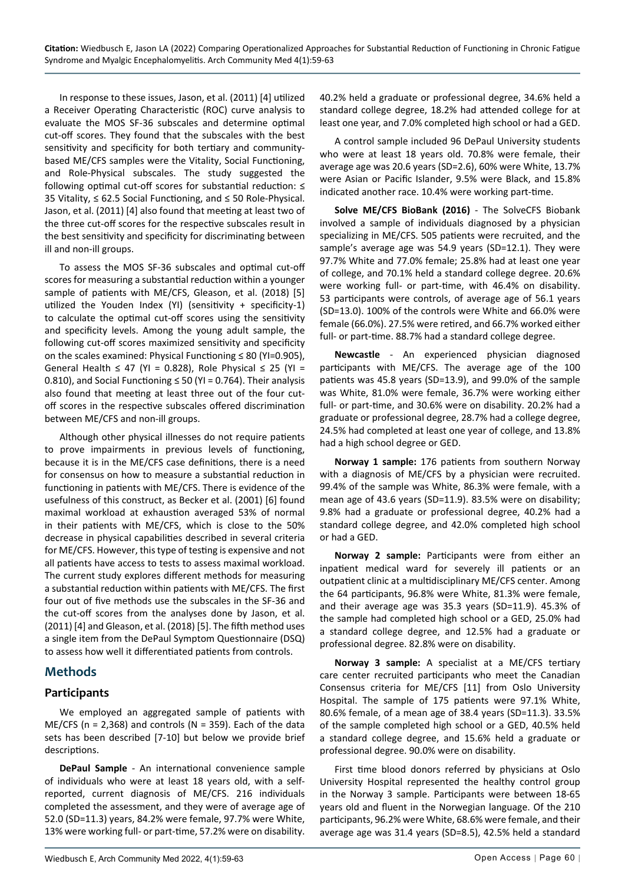In response to these issues, Jason, et al. (2011) [4] utilized a Receiver Operating Characteristic (ROC) curve analysis to evaluate the MOS SF-36 subscales and determine optimal cut-off scores. They found that the subscales with the best sensitivity and specificity for both tertiary and communitybased ME/CFS samples were the Vitality, Social Functioning, and Role-Physical subscales. The study suggested the following optimal cut-off scores for substantial reduction: ≤ 35 Vitality, ≤ 62.5 Social Functioning, and ≤ 50 Role-Physical. Jason, et al. (2011) [4] also found that meeting at least two of the three cut-off scores for the respective subscales result in the best sensitivity and specificity for discriminating between ill and non-ill groups.

To assess the MOS SF-36 subscales and optimal cut-off scores for measuring a substantial reduction within a younger sample of patients with ME/CFS, Gleason, et al. (2018) [5] utilized the Youden Index (YI) (sensitivity + specificity-1) to calculate the optimal cut-off scores using the sensitivity and specificity levels. Among the young adult sample, the following cut-off scores maximized sensitivity and specificity on the scales examined: Physical Functioning ≤ 80 (YI=0.905), General Health ≤ 47 (YI = 0.828), Role Physical ≤ 25 (YI = 0.810), and Social Functioning ≤ 50 (YI = 0.764). Their analysis also found that meeting at least three out of the four cutoff scores in the respective subscales offered discrimination between ME/CFS and non-ill groups.

Although other physical illnesses do not require patients to prove impairments in previous levels of functioning, because it is in the ME/CFS case definitions, there is a need for consensus on how to measure a substantial reduction in functioning in patients with ME/CFS. There is evidence of the usefulness of this construct, as Becker et al. (2001) [6] found maximal workload at exhaustion averaged 53% of normal in their patients with ME/CFS, which is close to the 50% decrease in physical capabilities described in several criteria for ME/CFS. However, this type of testing is expensive and not all patients have access to tests to assess maximal workload. The current study explores different methods for measuring a substantial reduction within patients with ME/CFS. The first four out of five methods use the subscales in the SF-36 and the cut-off scores from the analyses done by Jason, et al. (2011) [4] and Gleason, et al. (2018) [5]. The fifth method uses a single item from the DePaul Symptom Questionnaire (DSQ) to assess how well it differentiated patients from controls.

## **Methods**

### **Participants**

We employed an aggregated sample of patients with  $ME/CFS$  (n = 2,368) and controls (N = 359). Each of the data sets has been described [7-10] but below we provide brief descriptions.

**DePaul Sample** *-* An international convenience sample of individuals who were at least 18 years old, with a selfreported, current diagnosis of ME/CFS. 216 individuals completed the assessment, and they were of average age of 52.0 (SD=11.3) years, 84.2% were female, 97.7% were White, 13% were working full- or part-time, 57.2% were on disability. 40.2% held a graduate or professional degree, 34.6% held a standard college degree, 18.2% had attended college for at least one year, and 7.0% completed high school or had a GED.

A control sample included 96 DePaul University students who were at least 18 years old. 70.8% were female, their average age was 20.6 years (SD=2.6), 60% were White, 13.7% were Asian or Pacific Islander, 9.5% were Black, and 15.8% indicated another race. 10.4% were working part-time.

**Solve ME/CFS BioBank (2016)** - The SolveCFS Biobank involved a sample of individuals diagnosed by a physician specializing in ME/CFS. 505 patients were recruited, and the sample's average age was 54.9 years (SD=12.1). They were 97.7% White and 77.0% female; 25.8% had at least one year of college, and 70.1% held a standard college degree. 20.6% were working full- or part-time, with 46.4% on disability. 53 participants were controls, of average age of 56.1 years (SD=13.0). 100% of the controls were White and 66.0% were female (66.0%). 27.5% were retired, and 66.7% worked either full- or part-time. 88.7% had a standard college degree.

**Newcastle** - An experienced physician diagnosed participants with ME/CFS. The average age of the 100 patients was 45.8 years (SD=13.9), and 99.0% of the sample was White, 81.0% were female, 36.7% were working either full- or part-time, and 30.6% were on disability. 20.2% had a graduate or professional degree, 28.7% had a college degree, 24.5% had completed at least one year of college, and 13.8% had a high school degree or GED.

**Norway 1 sample:** 176 patients from southern Norway with a diagnosis of ME/CFS by a physician were recruited. 99.4% of the sample was White, 86.3% were female, with a mean age of 43.6 years (SD=11.9). 83.5% were on disability; 9.8% had a graduate or professional degree, 40.2% had a standard college degree, and 42.0% completed high school or had a GED.

**Norway 2 sample:** Participants were from either an inpatient medical ward for severely ill patients or an outpatient clinic at a multidisciplinary ME/CFS center. Among the 64 participants, 96.8% were White, 81.3% were female, and their average age was 35.3 years (SD=11.9). 45.3% of the sample had completed high school or a GED, 25.0% had a standard college degree, and 12.5% had a graduate or professional degree. 82.8% were on disability.

**Norway 3 sample:** A specialist at a ME/CFS tertiary care center recruited participants who meet the Canadian Consensus criteria for ME/CFS [11] from Oslo University Hospital. The sample of 175 patients were 97.1% White, 80.6% female, of a mean age of 38.4 years (SD=11.3). 33.5% of the sample completed high school or a GED, 40.5% held a standard college degree, and 15.6% held a graduate or professional degree. 90.0% were on disability.

First time blood donors referred by physicians at Oslo University Hospital represented the healthy control group in the Norway 3 sample. Participants were between 18-65 years old and fluent in the Norwegian language. Of the 210 participants, 96.2% were White, 68.6% were female, and their average age was 31.4 years (SD=8.5), 42.5% held a standard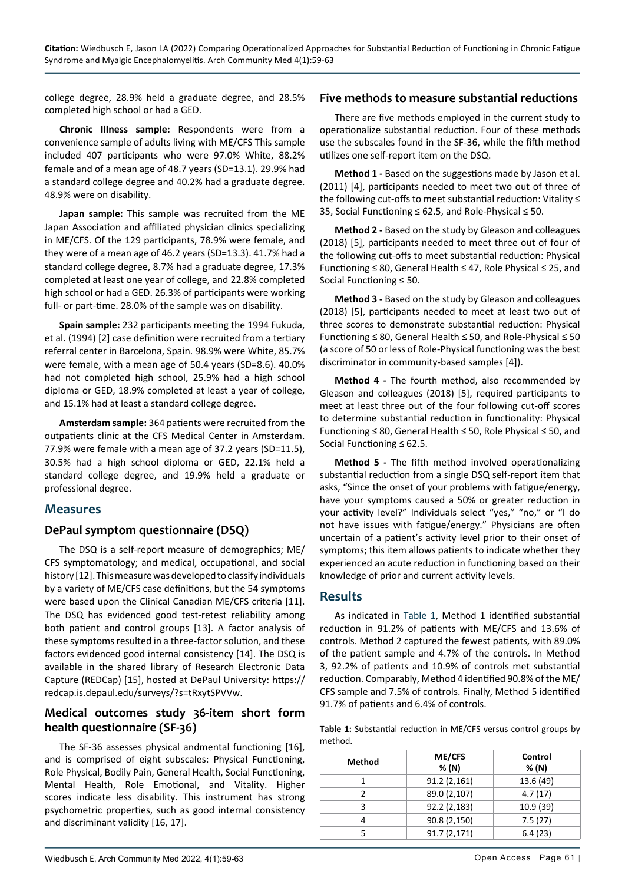college degree, 28.9% held a graduate degree, and 28.5% completed high school or had a GED.

**Chronic Illness sample:** Respondents were from a convenience sample of adults living with ME/CFS This sample included 407 participants who were 97.0% White, 88.2% female and of a mean age of 48.7 years (SD=13.1). 29.9% had a standard college degree and 40.2% had a graduate degree. 48.9% were on disability.

**Japan sample:** This sample was recruited from the ME Japan Association and affiliated physician clinics specializing in ME/CFS. Of the 129 participants, 78.9% were female, and they were of a mean age of 46.2 years (SD=13.3). 41.7% had a standard college degree, 8.7% had a graduate degree, 17.3% completed at least one year of college, and 22.8% completed high school or had a GED. 26.3% of participants were working full- or part-time. 28.0% of the sample was on disability.

**Spain sample:** 232 participants meeting the 1994 Fukuda, et al. (1994) [2] case definition were recruited from a tertiary referral center in Barcelona, Spain. 98.9% were White, 85.7% were female, with a mean age of 50.4 years (SD=8.6). 40.0% had not completed high school, 25.9% had a high school diploma or GED, 18.9% completed at least a year of college, and 15.1% had at least a standard college degree.

**Amsterdam sample:** 364 patients were recruited from the outpatients clinic at the CFS Medical Center in Amsterdam. 77.9% were female with a mean age of 37.2 years (SD=11.5), 30.5% had a high school diploma or GED, 22.1% held a standard college degree, and 19.9% held a graduate or professional degree.

### **Measures**

### **DePaul symptom questionnaire (DSQ)**

The DSQ is a self-report measure of demographics; ME/ CFS symptomatology; and medical, occupational, and social history [12]. This measure was developed to classify individuals by a variety of ME/CFS case definitions, but the 54 symptoms were based upon the Clinical Canadian ME/CFS criteria [11]. The DSQ has evidenced good test-retest reliability among both patient and control groups [13]. A factor analysis of these symptoms resulted in a three-factor solution, and these factors evidenced good internal consistency [14]. The DSQ is available in the shared library of Research Electronic Data Capture (REDCap) [15], hosted at DePaul University: https:// redcap.is.depaul.edu/surveys/?s=tRxytSPVVw.

## **Medical outcomes study 36-item short form health questionnaire (SF-36)**

The SF-36 assesses physical andmental functioning [16], and is comprised of eight subscales: Physical Functioning, Role Physical, Bodily Pain, General Health, Social Functioning, Mental Health, Role Emotional, and Vitality. Higher scores indicate less disability. This instrument has strong psychometric properties, such as good internal consistency and discriminant validity [16, 17].

#### **Five methods to measure substantial reductions**

There are five methods employed in the current study to operationalize substantial reduction. Four of these methods use the subscales found in the SF-36, while the fifth method utilizes one self-report item on the DSQ.

**Method 1 -** Based on the suggestions made by Jason et al. (2011) [4], participants needed to meet two out of three of the following cut-offs to meet substantial reduction: Vitality ≤ 35, Social Functioning ≤ 62.5, and Role-Physical ≤ 50.

**Method 2 -** Based on the study by Gleason and colleagues (2018) [5], participants needed to meet three out of four of the following cut-offs to meet substantial reduction: Physical Functioning ≤ 80, General Health ≤ 47, Role Physical ≤ 25, and Social Functioning ≤ 50.

**Method 3 -** Based on the study by Gleason and colleagues (2018) [5], participants needed to meet at least two out of three scores to demonstrate substantial reduction: Physical Functioning ≤ 80, General Health ≤ 50, and Role-Physical ≤ 50 (a score of 50 or less of Role-Physical functioning was the best discriminator in community-based samples [4]).

**Method 4 -** The fourth method, also recommended by Gleason and colleagues (2018) [5], required participants to meet at least three out of the four following cut-off scores to determine substantial reduction in functionality: Physical Functioning ≤ 80, General Health ≤ 50, Role Physical ≤ 50, and Social Functioning ≤ 62.5.

**Method 5 -** The fifth method involved operationalizing substantial reduction from a single DSQ self-report item that asks, "Since the onset of your problems with fatigue/energy, have your symptoms caused a 50% or greater reduction in your activity level?" Individuals select "yes," "no," or "I do not have issues with fatigue/energy." Physicians are often uncertain of a patient's activity level prior to their onset of symptoms; this item allows patients to indicate whether they experienced an acute reduction in functioning based on their knowledge of prior and current activity levels.

### **Results**

As indicated in [Table 1](#page-2-0), Method 1 identified substantial reduction in 91.2% of patients with ME/CFS and 13.6% of controls. Method 2 captured the fewest patient*s,* with 89.0% of the patient sample and 4.7% of the controls. In Method 3, 92.2% of patients and 10.9% of controls met substantial reduction. Comparably, Method 4 identified 90.8% of the ME/ CFS sample and 7.5% of controls. Finally, Method 5 identified 91.7% of patients and 6.4% of controls.

<span id="page-2-0"></span>**Table 1:** Substantial reduction in ME/CFS versus control groups by method.

| <b>Method</b> | <b>ME/CFS</b><br>% (N) | Control<br>% (N) |
|---------------|------------------------|------------------|
| 1             | 91.2(2,161)            | 13.6 (49)        |
| 2             | 89.0 (2,107)           | 4.7(17)          |
| 3             | 92.2 (2,183)           | 10.9(39)         |
| 4             | 90.8 (2,150)           | 7.5(27)          |
| 5             | 91.7(2,171)            | 6.4(23)          |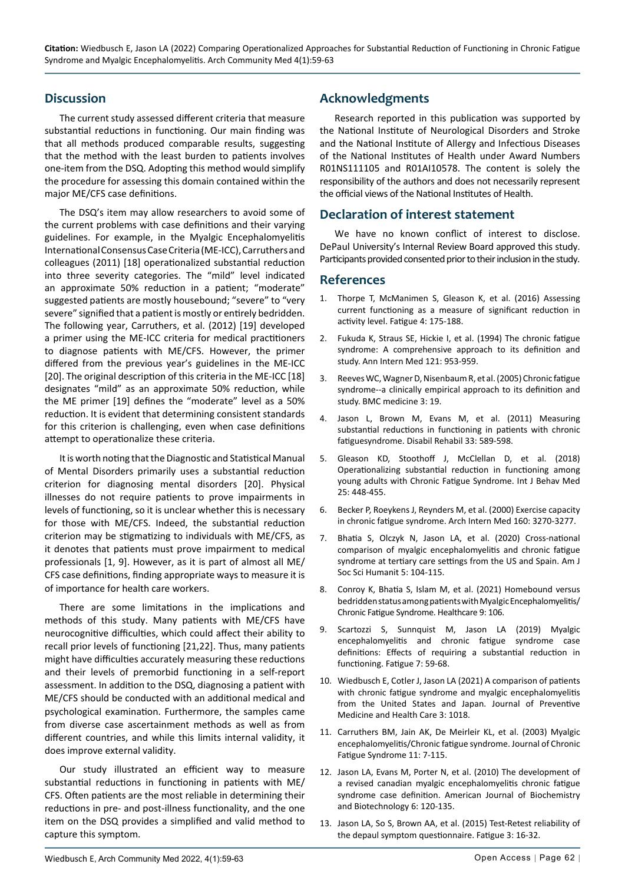**Citation:** Wiedbusch E, Jason LA (2022) Comparing Operationalized Approaches for Substantial Reduction of Functioning in Chronic Fatigue Syndrome and Myalgic Encephalomyelitis. Arch Community Med 4(1):59-63

## **Discussion**

The current study assessed different criteria that measure substantial reductions in functioning. Our main finding was that all methods produced comparable results, suggesting that the method with the least burden to patients involves one-item from the DSQ. Adopting this method would simplify the procedure for assessing this domain contained within the major ME/CFS case definitions.

The DSQ's item may allow researchers to avoid some of the current problems with case definitions and their varying guidelines. For example, in the Myalgic Encephalomyelitis International Consensus Case Criteria (ME-ICC), Carruthers and colleagues (2011) [18] operationalized substantial reduction into three severity categories. The "mild" level indicated an approximate 50% reduction in a patient; "moderate" suggested patients are mostly housebound; "severe" to "very severe" signified that a patient is mostly or entirely bedridden. The following year, Carruthers, et al. (2012) [19] developed a primer using the ME-ICC criteria for medical practitioners to diagnose patients with ME/CFS. However, the primer differed from the previous year's guidelines in the ME-ICC [20]. The original description of this criteria in the ME-ICC [18] designates "mild" as an approximate 50% reduction, while the ME primer [19] defines the "moderate" level as a 50% reduction. It is evident that determining consistent standards for this criterion is challenging, even when case definitions attempt to operationalize these criteria.

It is worth noting that the Diagnostic and Statistical Manual of Mental Disorders primarily uses a substantial reduction criterion for diagnosing mental disorders [20]. Physical illnesses do not require patients to prove impairments in levels of functioning, so it is unclear whether this is necessary for those with ME/CFS. Indeed, the substantial reduction criterion may be stigmatizing to individuals with ME/CFS, as it denotes that patients must prove impairment to medical professionals [1, 9]. However, as it is part of almost all ME/ CFS case definitions, finding appropriate ways to measure it is of importance for health care workers.

There are some limitations in the implications and methods of this study. Many patients with ME/CFS have neurocognitive difficulties, which could affect their ability to recall prior levels of functioning [21,22]. Thus, many patients might have difficulties accurately measuring these reductions and their levels of premorbid functioning in a self-report assessment. In addition to the DSQ, diagnosing a patient with ME/CFS should be conducted with an additional medical and psychological examination. Furthermore, the samples came from diverse case ascertainment methods as well as from different countries, and while this limits internal validity, it does improve external validity.

Our study illustrated an efficient way to measure substantial reductions in functioning in patients with ME/ CFS. Often patients are the most reliable in determining their reductions in pre- and post-illness functionality, and the one item on the DSQ provides a simplified and valid method to capture this symptom.

## **Acknowledgments**

Research reported in this publication was supported by the National Institute of Neurological Disorders and Stroke and the National Institute of Allergy and Infectious Diseases of the National Institutes of Health under Award Numbers R01NS111105 and R01AI10578. The content is solely the responsibility of the authors and does not necessarily represent the official views of the National Institutes of Health.

#### **Declaration of interest statement**

We have no known conflict of interest to disclose. DePaul University's Internal Review Board approved this study. Participants provided consented prior to their inclusion in the study.

#### **References**

- 1. [Thorpe T, McManimen S, Gleason K, et al. \(2016\) Assessing](https://pubmed.ncbi.nlm.nih.gov/28217427/)  [current functioning as a measure of significant reduction in](https://pubmed.ncbi.nlm.nih.gov/28217427/)  [activity level. Fatigue](https://pubmed.ncbi.nlm.nih.gov/28217427/) 4: 175-188.
- 2. [Fukuda K, Straus SE, Hickie I, et al. \(1994\) The chronic fatigue](https://pubmed.ncbi.nlm.nih.gov/7978722/)  [syndrome: A comprehensive approach to its definition and](https://pubmed.ncbi.nlm.nih.gov/7978722/)  [study. Ann Intern Med 121: 953-959.](https://pubmed.ncbi.nlm.nih.gov/7978722/)
- 3. [Reeves WC, Wagner D, Nisenbaum R, et al. \(2005\) Chronic fatigue](https://pubmed.ncbi.nlm.nih.gov/16356178/)  [syndrome--a clinically empirical approach to its definition and](https://pubmed.ncbi.nlm.nih.gov/16356178/)  [study. BMC medicine 3: 19.](https://pubmed.ncbi.nlm.nih.gov/16356178/)
- 4. [Jason L, Brown M, Evans M, et al. \(2011\) Measuring](https://pubmed.ncbi.nlm.nih.gov/20617920/)  [substantial reductions in functioning in patients with chronic](https://pubmed.ncbi.nlm.nih.gov/20617920/)  [fatiguesyndrome. Disabil Rehabil 33: 589-598.](https://pubmed.ncbi.nlm.nih.gov/20617920/)
- 5. [Gleason KD, Stoothoff J, McClellan D, et al. \(2018\)](https://pubmed.ncbi.nlm.nih.gov/29872989/)  [Operationalizing substantial reduction in functioning among](https://pubmed.ncbi.nlm.nih.gov/29872989/)  [young adults with Chronic Fatigue Syndrome. Int J Behav Med](https://pubmed.ncbi.nlm.nih.gov/29872989/)  [25: 448-455.](https://pubmed.ncbi.nlm.nih.gov/29872989/)
- 6. [Becker P, Roeykens J, Reynders M, et al. \(2000\) Exercise capacity](https://pubmed.ncbi.nlm.nih.gov/11088089/)  [in chronic fatigue syndrome. Arch Intern Med 160: 3270-3277.](https://pubmed.ncbi.nlm.nih.gov/11088089/)
- 7. [Bhatia S, Olczyk N, Jason LA, et al. \(2020\) Cross-national](https://pubmed.ncbi.nlm.nih.gov/34109300/)  [comparison of myalgic encephalomyelitis and chronic fatigue](https://pubmed.ncbi.nlm.nih.gov/34109300/)  [syndrome at tertiary care settings from the US and Spain. Am J](https://pubmed.ncbi.nlm.nih.gov/34109300/)  [Soc Sci Humanit 5: 104-115.](https://pubmed.ncbi.nlm.nih.gov/34109300/)
- 8. [Conroy K, Bhatia S, Islam M, et al. \(2021\) Homebound versus](https://www.mdpi.com/2227-9032/9/2/106)  [bedridden status among patients with Myalgic Encephalomyelitis/](https://www.mdpi.com/2227-9032/9/2/106) [Chronic Fatigue Syndrome. Healthcare 9: 106.](https://www.mdpi.com/2227-9032/9/2/106)
- 9. [Scartozzi S, Sunnquist M, Jason LA \(2019\) Myalgic](https://pubmed.ncbi.nlm.nih.gov/31788347/)  [encephalomyelitis and chronic fatigue syndrome case](https://pubmed.ncbi.nlm.nih.gov/31788347/)  [definitions: Effects of requiring a substantial reduction in](https://pubmed.ncbi.nlm.nih.gov/31788347/)  [functioning. Fatigue 7: 59-68.](https://pubmed.ncbi.nlm.nih.gov/31788347/)
- 10. [Wiedbusch E, Cotler J, Jason LA \(2021\) A comparison of patients](https://www.semanticscholar.org/paper/A-Comparison-of-Patients-with-Chronic-Fatigue-and-Wiedbusch-Cotler/b311641f864b6819b705494ab7ae490c29b34976)  [with chronic fatigue syndrome and myalgic encephalomyelitis](https://www.semanticscholar.org/paper/A-Comparison-of-Patients-with-Chronic-Fatigue-and-Wiedbusch-Cotler/b311641f864b6819b705494ab7ae490c29b34976)  [from the United States and Japan. Journal of Preventive](https://www.semanticscholar.org/paper/A-Comparison-of-Patients-with-Chronic-Fatigue-and-Wiedbusch-Cotler/b311641f864b6819b705494ab7ae490c29b34976)  [Medicine and Health Care 3: 1018.](https://www.semanticscholar.org/paper/A-Comparison-of-Patients-with-Chronic-Fatigue-and-Wiedbusch-Cotler/b311641f864b6819b705494ab7ae490c29b34976)
- 11. [Carruthers BM, Jain AK, De Meirleir KL, et al. \(2003\) Myalgic](https://www.tandfonline.com/doi/abs/10.1300/J092v11n01_02)  [encephalomyelitis/Chronic fatigue syndrome. Journal of Chronic](https://www.tandfonline.com/doi/abs/10.1300/J092v11n01_02)  [Fatigue Syndrome 11: 7-115.](https://www.tandfonline.com/doi/abs/10.1300/J092v11n01_02)
- 12. [Jason LA, Evans M, Porter N, et al. \(2010\) The development of](https://www.thescipub.com/abstract/10.3844/ajbbsp.2010.120.135)  [a revised canadian myalgic encephalomyelitis chronic fatigue](https://www.thescipub.com/abstract/10.3844/ajbbsp.2010.120.135)  syndrome case definition. [American Journal of Biochemistry](https://www.thescipub.com/abstract/10.3844/ajbbsp.2010.120.135)  [and Biotechnology](https://www.thescipub.com/abstract/10.3844/ajbbsp.2010.120.135) 6: 120-135.
- 13. [Jason LA, So S, Brown AA, et al. \(2015\) Test-Retest reliability of](https://pubmed.ncbi.nlm.nih.gov/26973799/)  [the depaul symptom questionnaire.](https://pubmed.ncbi.nlm.nih.gov/26973799/) Fatigue 3: 16-32.